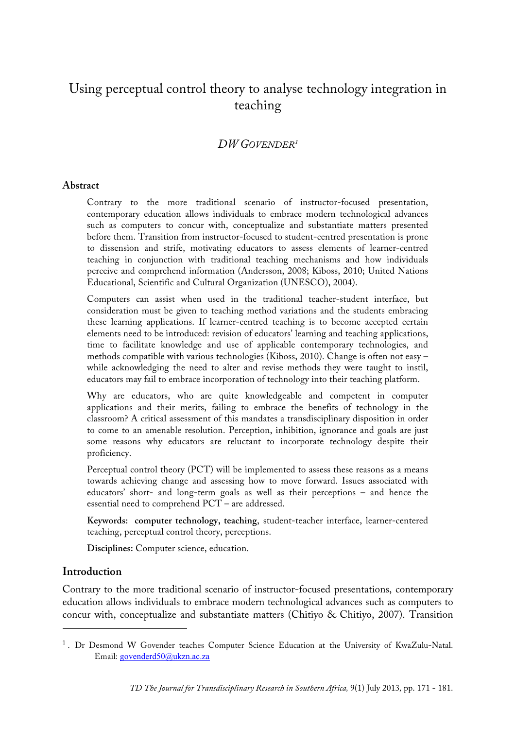# Using perceptual control theory to analyse technology integration in teaching

#### *DW GOVENDER1*

#### **Abstract**

Contrary to the more traditional scenario of instructor-focused presentation, contemporary education allows individuals to embrace modern technological advances such as computers to concur with, conceptualize and substantiate matters presented before them. Transition from instructor-focused to student-centred presentation is prone to dissension and strife, motivating educators to assess elements of learner-centred teaching in conjunction with traditional teaching mechanisms and how individuals perceive and comprehend information (Andersson, 2008; Kiboss, 2010; United Nations Educational, Scientific and Cultural Organization (UNESCO), 2004).

Computers can assist when used in the traditional teacher-student interface, but consideration must be given to teaching method variations and the students embracing these learning applications. If learner-centred teaching is to become accepted certain elements need to be introduced: revision of educators' learning and teaching applications, time to facilitate knowledge and use of applicable contemporary technologies, and methods compatible with various technologies (Kiboss, 2010). Change is often not easy – while acknowledging the need to alter and revise methods they were taught to instil, educators may fail to embrace incorporation of technology into their teaching platform.

Why are educators, who are quite knowledgeable and competent in computer applications and their merits, failing to embrace the benefits of technology in the classroom? A critical assessment of this mandates a transdisciplinary disposition in order to come to an amenable resolution. Perception, inhibition, ignorance and goals are just some reasons why educators are reluctant to incorporate technology despite their proficiency.

Perceptual control theory (PCT) will be implemented to assess these reasons as a means towards achieving change and assessing how to move forward. Issues associated with educators' short- and long-term goals as well as their perceptions – and hence the essential need to comprehend PCT – are addressed.

**Keywords: computer technology, teaching**, student-teacher interface, learner-centered teaching, perceptual control theory, perceptions.

**Disciplines:** Computer science, education.

#### **Introduction**

 $\overline{a}$ 

Contrary to the more traditional scenario of instructor-focused presentations, contemporary education allows individuals to embrace modern technological advances such as computers to concur with, conceptualize and substantiate matters (Chitiyo & Chitiyo, 2007). Transition

<sup>&</sup>lt;sup>1</sup>. Dr Desmond W Govender teaches Computer Science Education at the University of KwaZulu-Natal. Email: govenderd50@ukzn.ac.za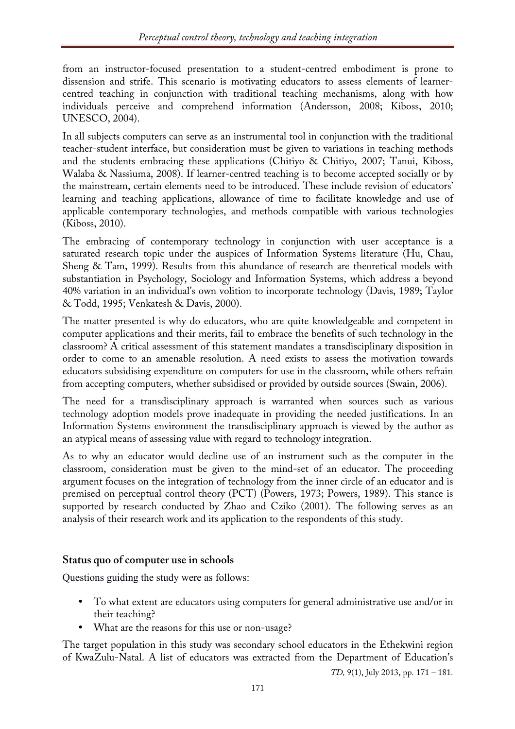from an instructor-focused presentation to a student-centred embodiment is prone to dissension and strife. This scenario is motivating educators to assess elements of learnercentred teaching in conjunction with traditional teaching mechanisms, along with how individuals perceive and comprehend information (Andersson, 2008; Kiboss, 2010; UNESCO, 2004).

In all subjects computers can serve as an instrumental tool in conjunction with the traditional teacher-student interface, but consideration must be given to variations in teaching methods and the students embracing these applications (Chitiyo & Chitiyo, 2007; Tanui, Kiboss, Walaba & Nassiuma, 2008). If learner-centred teaching is to become accepted socially or by the mainstream, certain elements need to be introduced. These include revision of educators' learning and teaching applications, allowance of time to facilitate knowledge and use of applicable contemporary technologies, and methods compatible with various technologies (Kiboss, 2010).

The embracing of contemporary technology in conjunction with user acceptance is a saturated research topic under the auspices of Information Systems literature (Hu, Chau, Sheng & Tam, 1999). Results from this abundance of research are theoretical models with substantiation in Psychology, Sociology and Information Systems, which address a beyond 40% variation in an individual's own volition to incorporate technology (Davis, 1989; Taylor & Todd, 1995; Venkatesh & Davis, 2000).

The matter presented is why do educators, who are quite knowledgeable and competent in computer applications and their merits, fail to embrace the benefits of such technology in the classroom? A critical assessment of this statement mandates a transdisciplinary disposition in order to come to an amenable resolution. A need exists to assess the motivation towards educators subsidising expenditure on computers for use in the classroom, while others refrain from accepting computers, whether subsidised or provided by outside sources (Swain, 2006).

The need for a transdisciplinary approach is warranted when sources such as various technology adoption models prove inadequate in providing the needed justifications. In an Information Systems environment the transdisciplinary approach is viewed by the author as an atypical means of assessing value with regard to technology integration.

As to why an educator would decline use of an instrument such as the computer in the classroom, consideration must be given to the mind-set of an educator. The proceeding argument focuses on the integration of technology from the inner circle of an educator and is premised on perceptual control theory (PCT) (Powers, 1973; Powers, 1989). This stance is supported by research conducted by Zhao and Cziko (2001). The following serves as an analysis of their research work and its application to the respondents of this study.

## **Status quo of computer use in schools**

Questions guiding the study were as follows:

- To what extent are educators using computers for general administrative use and/or in their teaching?
- What are the reasons for this use or non-usage?

The target population in this study was secondary school educators in the Ethekwini region of KwaZulu-Natal. A list of educators was extracted from the Department of Education's

*TD,* 9(1), July 2013, pp. 171 – 181.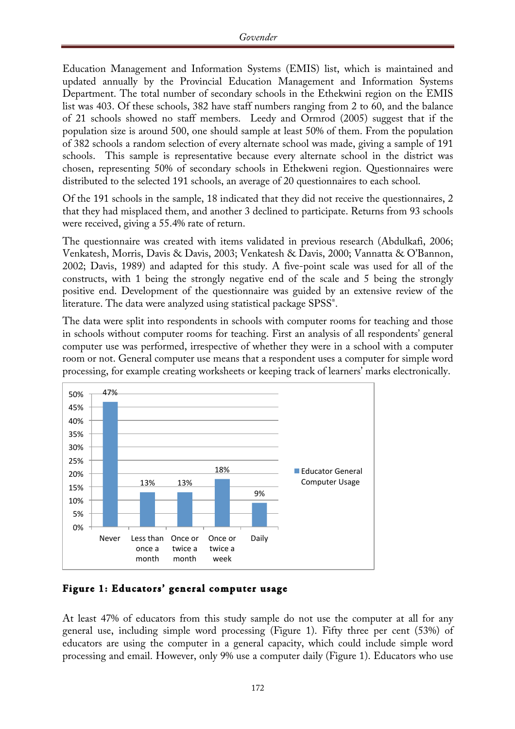Education Management and Information Systems (EMIS) list, which is maintained and updated annually by the Provincial Education Management and Information Systems Department. The total number of secondary schools in the Ethekwini region on the EMIS list was 403. Of these schools, 382 have staff numbers ranging from 2 to 60, and the balance of 21 schools showed no staff members. Leedy and Ormrod (2005) suggest that if the population size is around 500, one should sample at least 50% of them. From the population of 382 schools a random selection of every alternate school was made, giving a sample of 191 schools. This sample is representative because every alternate school in the district was chosen, representing 50% of secondary schools in Ethekweni region. Questionnaires were distributed to the selected 191 schools, an average of 20 questionnaires to each school.

Of the 191 schools in the sample, 18 indicated that they did not receive the questionnaires, 2 that they had misplaced them, and another 3 declined to participate. Returns from 93 schools were received, giving a 55.4% rate of return.

The questionnaire was created with items validated in previous research (Abdulkafi, 2006; Venkatesh, Morris, Davis & Davis, 2003; Venkatesh & Davis, 2000; Vannatta & O'Bannon, 2002; Davis, 1989) and adapted for this study. A five-point scale was used for all of the constructs, with 1 being the strongly negative end of the scale and 5 being the strongly positive end. Development of the questionnaire was guided by an extensive review of the literature. The data were analyzed using statistical package SPSS®.

The data were split into respondents in schools with computer rooms for teaching and those in schools without computer rooms for teaching. First an analysis of all respondents' general computer use was performed, irrespective of whether they were in a school with a computer room or not. General computer use means that a respondent uses a computer for simple word processing, for example creating worksheets or keeping track of learners' marks electronically.



**Figure 1: Educators' general computer usage** 

At least 47% of educators from this study sample do not use the computer at all for any general use, including simple word processing (Figure 1). Fifty three per cent (53%) of educators are using the computer in a general capacity, which could include simple word processing and email. However, only 9% use a computer daily (Figure 1). Educators who use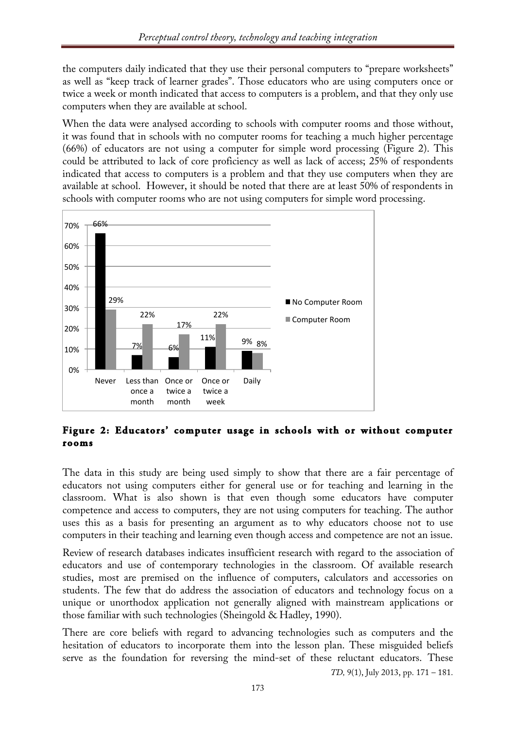the computers daily indicated that they use their personal computers to "prepare worksheets" as well as "keep track of learner grades". Those educators who are using computers once or twice a week or month indicated that access to computers is a problem, and that they only use computers when they are available at school.

When the data were analysed according to schools with computer rooms and those without, it was found that in schools with no computer rooms for teaching a much higher percentage (66%) of educators are not using a computer for simple word processing (Figure 2). This could be attributed to lack of core proficiency as well as lack of access; 25% of respondents indicated that access to computers is a problem and that they use computers when they are available at school. However, it should be noted that there are at least 50% of respondents in schools with computer rooms who are not using computers for simple word processing.



**Figure 2: Educators' computer usage in schools with or without computer rooms** 

The data in this study are being used simply to show that there are a fair percentage of educators not using computers either for general use or for teaching and learning in the classroom. What is also shown is that even though some educators have computer competence and access to computers, they are not using computers for teaching. The author uses this as a basis for presenting an argument as to why educators choose not to use computers in their teaching and learning even though access and competence are not an issue.

Review of research databases indicates insufficient research with regard to the association of educators and use of contemporary technologies in the classroom. Of available research studies, most are premised on the influence of computers, calculators and accessories on students. The few that do address the association of educators and technology focus on a unique or unorthodox application not generally aligned with mainstream applications or those familiar with such technologies (Sheingold & Hadley, 1990).

There are core beliefs with regard to advancing technologies such as computers and the hesitation of educators to incorporate them into the lesson plan. These misguided beliefs serve as the foundation for reversing the mind-set of these reluctant educators. These

*TD,* 9(1), July 2013, pp. 171 – 181.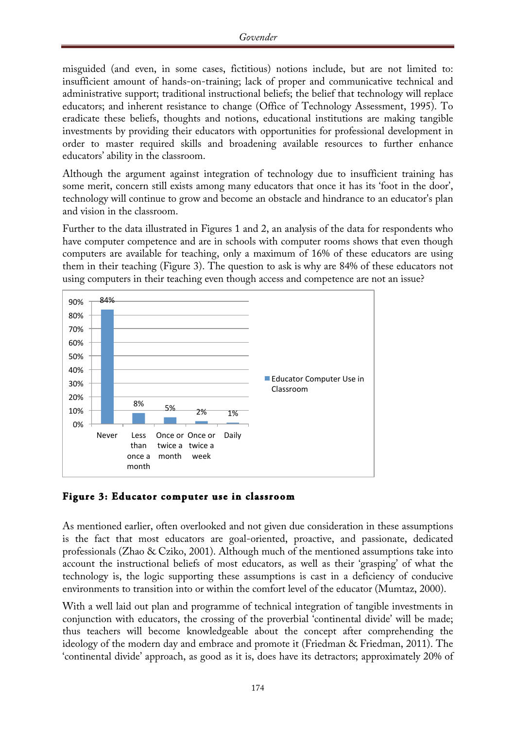misguided (and even, in some cases, fictitious) notions include, but are not limited to: insufficient amount of hands-on-training; lack of proper and communicative technical and administrative support; traditional instructional beliefs; the belief that technology will replace educators; and inherent resistance to change (Office of Technology Assessment, 1995). To eradicate these beliefs, thoughts and notions, educational institutions are making tangible investments by providing their educators with opportunities for professional development in order to master required skills and broadening available resources to further enhance educators' ability in the classroom.

Although the argument against integration of technology due to insufficient training has some merit, concern still exists among many educators that once it has its 'foot in the door', technology will continue to grow and become an obstacle and hindrance to an educator's plan and vision in the classroom.

Further to the data illustrated in Figures 1 and 2, an analysis of the data for respondents who have computer competence and are in schools with computer rooms shows that even though computers are available for teaching, only a maximum of 16% of these educators are using them in their teaching (Figure 3). The question to ask is why are 84% of these educators not using computers in their teaching even though access and competence are not an issue?



**Figure 3: Educator computer use in classroom** 

As mentioned earlier, often overlooked and not given due consideration in these assumptions is the fact that most educators are goal-oriented, proactive, and passionate, dedicated professionals (Zhao & Cziko, 2001). Although much of the mentioned assumptions take into account the instructional beliefs of most educators, as well as their 'grasping' of what the technology is, the logic supporting these assumptions is cast in a deficiency of conducive environments to transition into or within the comfort level of the educator (Mumtaz, 2000).

With a well laid out plan and programme of technical integration of tangible investments in conjunction with educators, the crossing of the proverbial 'continental divide' will be made; thus teachers will become knowledgeable about the concept after comprehending the ideology of the modern day and embrace and promote it (Friedman & Friedman, 2011). The 'continental divide' approach, as good as it is, does have its detractors; approximately 20% of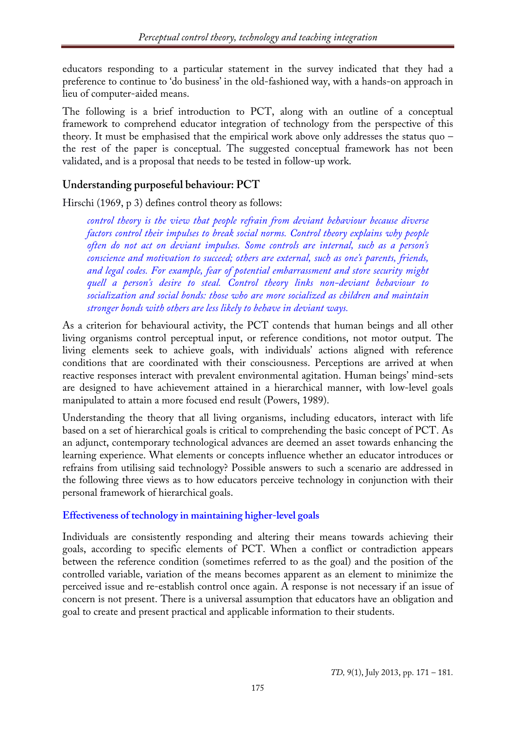educators responding to a particular statement in the survey indicated that they had a preference to continue to 'do business' in the old-fashioned way, with a hands-on approach in lieu of computer-aided means.

The following is a brief introduction to PCT, along with an outline of a conceptual framework to comprehend educator integration of technology from the perspective of this theory. It must be emphasised that the empirical work above only addresses the status quo – the rest of the paper is conceptual. The suggested conceptual framework has not been validated, and is a proposal that needs to be tested in follow-up work.

# **Understanding purposeful behaviour: PCT**

Hirschi (1969, p 3) defines control theory as follows:

*control theory is the view that people refrain from deviant behaviour because diverse factors control their impulses to break social norms. Control theory explains why people often do not act on deviant impulses. Some controls are internal, such as a person's conscience and motivation to succeed; others are external, such as one's parents, friends, and legal codes. For example, fear of potential embarrassment and store security might quell a person's desire to steal. Control theory links non-deviant behaviour to socialization and social bonds: those who are more socialized as children and maintain stronger bonds with others are less likely to behave in deviant ways.*

As a criterion for behavioural activity, the PCT contends that human beings and all other living organisms control perceptual input, or reference conditions, not motor output. The living elements seek to achieve goals, with individuals' actions aligned with reference conditions that are coordinated with their consciousness. Perceptions are arrived at when reactive responses interact with prevalent environmental agitation. Human beings' mind-sets are designed to have achievement attained in a hierarchical manner, with low-level goals manipulated to attain a more focused end result (Powers, 1989).

Understanding the theory that all living organisms, including educators, interact with life based on a set of hierarchical goals is critical to comprehending the basic concept of PCT. As an adjunct, contemporary technological advances are deemed an asset towards enhancing the learning experience. What elements or concepts influence whether an educator introduces or refrains from utilising said technology? Possible answers to such a scenario are addressed in the following three views as to how educators perceive technology in conjunction with their personal framework of hierarchical goals.

## **Effectiveness of technology in maintaining higher-level goals**

Individuals are consistently responding and altering their means towards achieving their goals, according to specific elements of PCT. When a conflict or contradiction appears between the reference condition (sometimes referred to as the goal) and the position of the controlled variable, variation of the means becomes apparent as an element to minimize the perceived issue and re-establish control once again. A response is not necessary if an issue of concern is not present. There is a universal assumption that educators have an obligation and goal to create and present practical and applicable information to their students.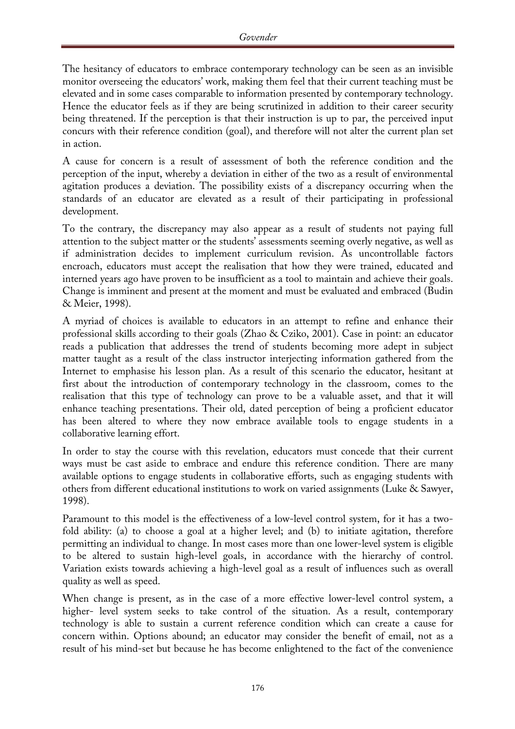The hesitancy of educators to embrace contemporary technology can be seen as an invisible monitor overseeing the educators' work, making them feel that their current teaching must be elevated and in some cases comparable to information presented by contemporary technology. Hence the educator feels as if they are being scrutinized in addition to their career security being threatened. If the perception is that their instruction is up to par, the perceived input concurs with their reference condition (goal), and therefore will not alter the current plan set in action.

A cause for concern is a result of assessment of both the reference condition and the perception of the input, whereby a deviation in either of the two as a result of environmental agitation produces a deviation. The possibility exists of a discrepancy occurring when the standards of an educator are elevated as a result of their participating in professional development.

To the contrary, the discrepancy may also appear as a result of students not paying full attention to the subject matter or the students' assessments seeming overly negative, as well as if administration decides to implement curriculum revision. As uncontrollable factors encroach, educators must accept the realisation that how they were trained, educated and interned years ago have proven to be insufficient as a tool to maintain and achieve their goals. Change is imminent and present at the moment and must be evaluated and embraced (Budin & Meier, 1998).

A myriad of choices is available to educators in an attempt to refine and enhance their professional skills according to their goals (Zhao & Cziko, 2001). Case in point: an educator reads a publication that addresses the trend of students becoming more adept in subject matter taught as a result of the class instructor interjecting information gathered from the Internet to emphasise his lesson plan. As a result of this scenario the educator, hesitant at first about the introduction of contemporary technology in the classroom, comes to the realisation that this type of technology can prove to be a valuable asset, and that it will enhance teaching presentations. Their old, dated perception of being a proficient educator has been altered to where they now embrace available tools to engage students in a collaborative learning effort.

In order to stay the course with this revelation, educators must concede that their current ways must be cast aside to embrace and endure this reference condition. There are many available options to engage students in collaborative efforts, such as engaging students with others from different educational institutions to work on varied assignments (Luke & Sawyer, 1998).

Paramount to this model is the effectiveness of a low-level control system, for it has a twofold ability: (a) to choose a goal at a higher level; and (b) to initiate agitation, therefore permitting an individual to change. In most cases more than one lower-level system is eligible to be altered to sustain high-level goals, in accordance with the hierarchy of control. Variation exists towards achieving a high-level goal as a result of influences such as overall quality as well as speed.

When change is present, as in the case of a more effective lower-level control system, a higher- level system seeks to take control of the situation. As a result, contemporary technology is able to sustain a current reference condition which can create a cause for concern within. Options abound; an educator may consider the benefit of email, not as a result of his mind-set but because he has become enlightened to the fact of the convenience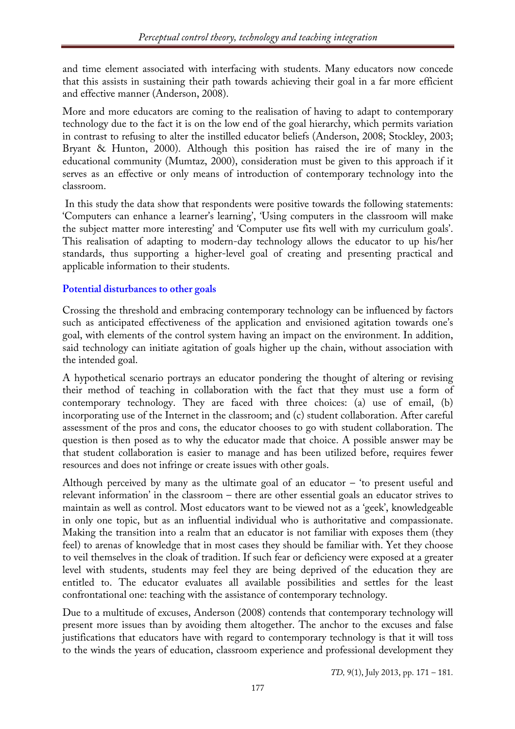and time element associated with interfacing with students. Many educators now concede that this assists in sustaining their path towards achieving their goal in a far more efficient and effective manner (Anderson, 2008).

More and more educators are coming to the realisation of having to adapt to contemporary technology due to the fact it is on the low end of the goal hierarchy, which permits variation in contrast to refusing to alter the instilled educator beliefs (Anderson, 2008; Stockley, 2003; Bryant & Hunton, 2000). Although this position has raised the ire of many in the educational community (Mumtaz, 2000), consideration must be given to this approach if it serves as an effective or only means of introduction of contemporary technology into the classroom.

In this study the data show that respondents were positive towards the following statements: 'Computers can enhance a learner's learning', 'Using computers in the classroom will make the subject matter more interesting' and 'Computer use fits well with my curriculum goals'. This realisation of adapting to modern-day technology allows the educator to up his/her standards, thus supporting a higher-level goal of creating and presenting practical and applicable information to their students.

#### **Potential disturbances to other goals**

Crossing the threshold and embracing contemporary technology can be influenced by factors such as anticipated effectiveness of the application and envisioned agitation towards one's goal, with elements of the control system having an impact on the environment. In addition, said technology can initiate agitation of goals higher up the chain, without association with the intended goal.

A hypothetical scenario portrays an educator pondering the thought of altering or revising their method of teaching in collaboration with the fact that they must use a form of contemporary technology. They are faced with three choices: (a) use of email, (b) incorporating use of the Internet in the classroom; and (c) student collaboration. After careful assessment of the pros and cons, the educator chooses to go with student collaboration. The question is then posed as to why the educator made that choice. A possible answer may be that student collaboration is easier to manage and has been utilized before, requires fewer resources and does not infringe or create issues with other goals.

Although perceived by many as the ultimate goal of an educator  $-$  'to present useful and relevant information' in the classroom – there are other essential goals an educator strives to maintain as well as control. Most educators want to be viewed not as a 'geek', knowledgeable in only one topic, but as an influential individual who is authoritative and compassionate. Making the transition into a realm that an educator is not familiar with exposes them (they feel) to arenas of knowledge that in most cases they should be familiar with. Yet they choose to veil themselves in the cloak of tradition. If such fear or deficiency were exposed at a greater level with students, students may feel they are being deprived of the education they are entitled to. The educator evaluates all available possibilities and settles for the least confrontational one: teaching with the assistance of contemporary technology.

Due to a multitude of excuses, Anderson (2008) contends that contemporary technology will present more issues than by avoiding them altogether. The anchor to the excuses and false justifications that educators have with regard to contemporary technology is that it will toss to the winds the years of education, classroom experience and professional development they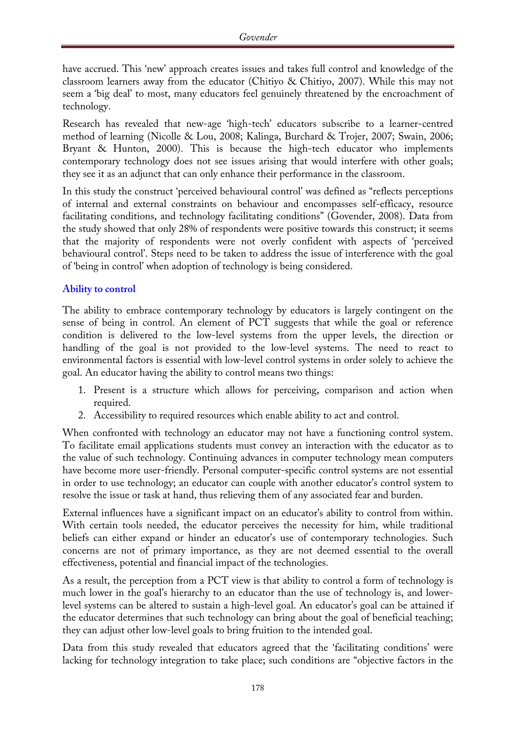have accrued. This 'new' approach creates issues and takes full control and knowledge of the classroom learners away from the educator (Chitiyo & Chitiyo, 2007). While this may not seem a 'big deal' to most, many educators feel genuinely threatened by the encroachment of technology.

Research has revealed that new-age 'high-tech' educators subscribe to a learner-centred method of learning (Nicolle & Lou, 2008; Kalinga, Burchard & Trojer, 2007; Swain, 2006; Bryant & Hunton, 2000). This is because the high-tech educator who implements contemporary technology does not see issues arising that would interfere with other goals; they see it as an adjunct that can only enhance their performance in the classroom.

In this study the construct 'perceived behavioural control' was defined as "reflects perceptions of internal and external constraints on behaviour and encompasses self-efficacy, resource facilitating conditions, and technology facilitating conditions" (Govender, 2008). Data from the study showed that only 28% of respondents were positive towards this construct; it seems that the majority of respondents were not overly confident with aspects of 'perceived behavioural control'. Steps need to be taken to address the issue of interference with the goal of 'being in control' when adoption of technology is being considered.

#### **Ability to control**

The ability to embrace contemporary technology by educators is largely contingent on the sense of being in control. An element of PCT suggests that while the goal or reference condition is delivered to the low-level systems from the upper levels, the direction or handling of the goal is not provided to the low-level systems. The need to react to environmental factors is essential with low-level control systems in order solely to achieve the goal. An educator having the ability to control means two things:

- 1. Present is a structure which allows for perceiving, comparison and action when required.
- 2. Accessibility to required resources which enable ability to act and control.

When confronted with technology an educator may not have a functioning control system. To facilitate email applications students must convey an interaction with the educator as to the value of such technology. Continuing advances in computer technology mean computers have become more user-friendly. Personal computer-specific control systems are not essential in order to use technology; an educator can couple with another educator's control system to resolve the issue or task at hand, thus relieving them of any associated fear and burden.

External influences have a significant impact on an educator's ability to control from within. With certain tools needed, the educator perceives the necessity for him, while traditional beliefs can either expand or hinder an educator's use of contemporary technologies. Such concerns are not of primary importance, as they are not deemed essential to the overall effectiveness, potential and financial impact of the technologies.

As a result, the perception from a PCT view is that ability to control a form of technology is much lower in the goal's hierarchy to an educator than the use of technology is, and lowerlevel systems can be altered to sustain a high-level goal. An educator's goal can be attained if the educator determines that such technology can bring about the goal of beneficial teaching; they can adjust other low-level goals to bring fruition to the intended goal.

Data from this study revealed that educators agreed that the 'facilitating conditions' were lacking for technology integration to take place; such conditions are "objective factors in the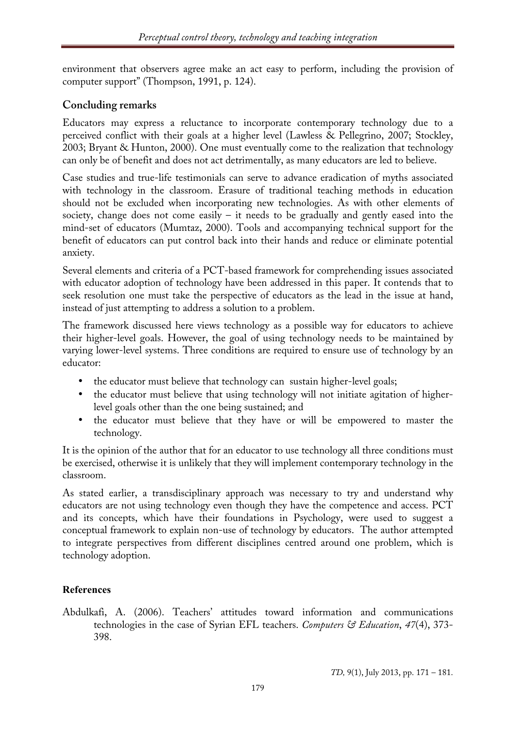environment that observers agree make an act easy to perform, including the provision of computer support" (Thompson, 1991, p. 124).

## **Concluding remarks**

Educators may express a reluctance to incorporate contemporary technology due to a perceived conflict with their goals at a higher level (Lawless & Pellegrino, 2007; Stockley, 2003; Bryant & Hunton, 2000). One must eventually come to the realization that technology can only be of benefit and does not act detrimentally, as many educators are led to believe.

Case studies and true-life testimonials can serve to advance eradication of myths associated with technology in the classroom. Erasure of traditional teaching methods in education should not be excluded when incorporating new technologies. As with other elements of society, change does not come easily  $-$  it needs to be gradually and gently eased into the mind-set of educators (Mumtaz, 2000). Tools and accompanying technical support for the benefit of educators can put control back into their hands and reduce or eliminate potential anxiety.

Several elements and criteria of a PCT-based framework for comprehending issues associated with educator adoption of technology have been addressed in this paper. It contends that to seek resolution one must take the perspective of educators as the lead in the issue at hand, instead of just attempting to address a solution to a problem.

The framework discussed here views technology as a possible way for educators to achieve their higher-level goals. However, the goal of using technology needs to be maintained by varying lower-level systems. Three conditions are required to ensure use of technology by an educator:

- the educator must believe that technology can sustain higher-level goals;
- the educator must believe that using technology will not initiate agitation of higherlevel goals other than the one being sustained; and
- the educator must believe that they have or will be empowered to master the technology.

It is the opinion of the author that for an educator to use technology all three conditions must be exercised, otherwise it is unlikely that they will implement contemporary technology in the classroom.

As stated earlier, a transdisciplinary approach was necessary to try and understand why educators are not using technology even though they have the competence and access. PCT and its concepts, which have their foundations in Psychology, were used to suggest a conceptual framework to explain non-use of technology by educators. The author attempted to integrate perspectives from different disciplines centred around one problem, which is technology adoption.

## **References**

Abdulkafi, A. (2006). Teachers' attitudes toward information and communications technologies in the case of Syrian EFL teachers. *Computers & Education*, *47*(4), 373- 398.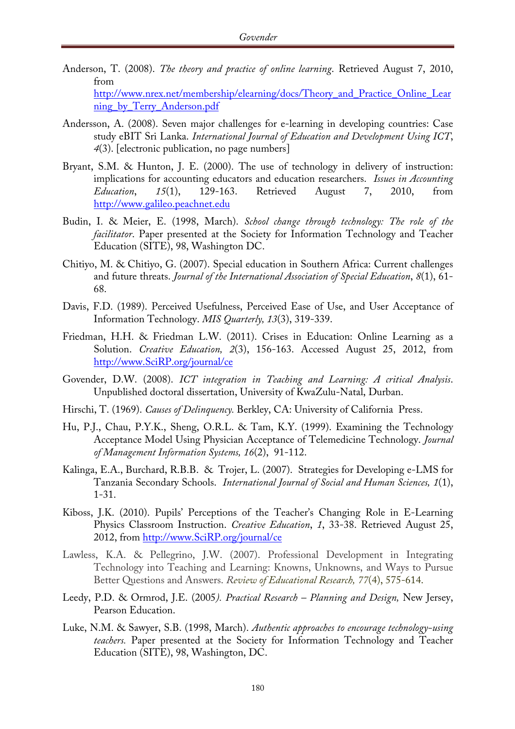- Anderson, T. (2008). *The theory and practice of online learning*. Retrieved August 7, 2010, from http://www.nrex.net/membership/elearning/docs/Theory\_and\_Practice\_Online\_Lear ning\_by\_Terry\_Anderson.pdf
- Andersson, A. (2008). Seven major challenges for e-learning in developing countries: Case study eBIT Sri Lanka. *International Journal of Education and Development Using ICT*, *4*(3). [electronic publication, no page numbers]
- Bryant, S.M. & Hunton, J. E. (2000). The use of technology in delivery of instruction: implications for accounting educators and education researchers. *Issues in Accounting Education*, *15*(1), 129-163. Retrieved August 7, 2010, from http://www.galileo.peachnet.edu
- Budin, I. & Meier, E. (1998, March). *School change through technology: The role of the facilitator*. Paper presented at the Society for Information Technology and Teacher Education (SITE), 98, Washington DC.
- Chitiyo, M. & Chitiyo, G. (2007). Special education in Southern Africa: Current challenges and future threats. *Journal of the International Association of Special Education*, *8*(1), 61- 68.
- Davis, F.D. (1989). Perceived Usefulness, Perceived Ease of Use, and User Acceptance of Information Technology. *MIS Quarterly, 13*(3), 319-339.
- Friedman, H.H. & Friedman L.W. (2011). Crises in Education: Online Learning as a Solution. *Creative Education, 2*(3), 156-163. Accessed August 25, 2012, from http://www.SciRP.org/journal/ce
- Govender, D.W. (2008). *ICT integration in Teaching and Learning: A critical Analysis*. Unpublished doctoral dissertation, University of KwaZulu-Natal, Durban.
- Hirschi, T. (1969). *Causes of Delinquency.* Berkley, CA: University of California Press.
- Hu, P.J., Chau, P.Y.K., Sheng, O.R.L. & Tam, K.Y. (1999). Examining the Technology Acceptance Model Using Physician Acceptance of Telemedicine Technology. *Journal of Management Information Systems, 16*(2), 91-112.
- Kalinga, E.A., Burchard, R.B.B. & Trojer, L. (2007). Strategies for Developing e-LMS for Tanzania Secondary Schools. *International Journal of Social and Human Sciences, 1*(1), 1-31.
- Kiboss, J.K. (2010). Pupils' Perceptions of the Teacher's Changing Role in E-Learning Physics Classroom Instruction. *Creative Education*, *1*, 33-38. Retrieved August 25, 2012, from http://www.SciRP.org/journal/ce
- Lawless, K.A. & Pellegrino, J.W. (2007). Professional Development in Integrating Technology into Teaching and Learning: Knowns, Unknowns, and Ways to Pursue Better Questions and Answers. *Review of Educational Research, 77*(4), 575-614.
- Leedy, P.D. & Ormrod, J.E. (2005*). Practical Research – Planning and Design,* New Jersey, Pearson Education.
- Luke, N.M. & Sawyer, S.B. (1998, March). *Authentic approaches to encourage technology-using teachers.* Paper presented at the Society for Information Technology and Teacher Education (SITE), 98, Washington, DC.